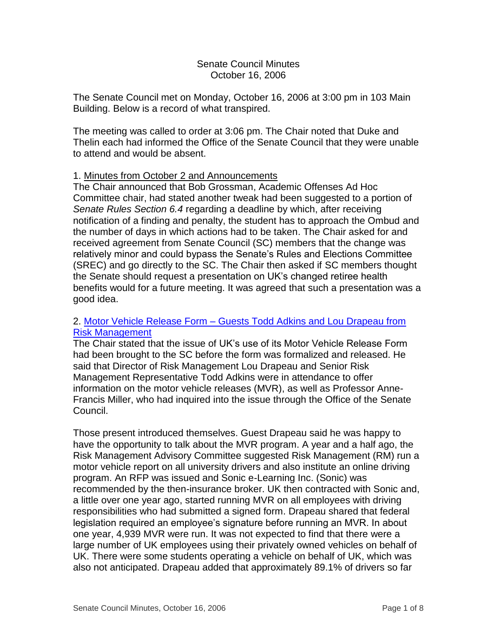## Senate Council Minutes October 16, 2006

The Senate Council met on Monday, October 16, 2006 at 3:00 pm in 103 Main Building. Below is a record of what transpired.

The meeting was called to order at 3:06 pm. The Chair noted that Duke and Thelin each had informed the Office of the Senate Council that they were unable to attend and would be absent.

## 1. Minutes from October 2 and Announcements

The Chair announced that Bob Grossman, Academic Offenses Ad Hoc Committee chair, had stated another tweak had been suggested to a portion of *Senate Rules Section 6.4* regarding a deadline by which, after receiving notification of a finding and penalty, the student has to approach the Ombud and the number of days in which actions had to be taken. The Chair asked for and received agreement from Senate Council (SC) members that the change was relatively minor and could bypass the Senate's Rules and Elections Committee (SREC) and go directly to the SC. The Chair then asked if SC members thought the Senate should request a presentation on UK's changed retiree health benefits would for a future meeting. It was agreed that such a presentation was a good idea.

## 2. Motor Vehicle Release Form – [Guests Todd Adkins and Lou Drapeau from](http://www.uky.edu/USC/New/files/20061016/Motor%20Vehicle%20Release_Complete.pdf)  [Risk Management](http://www.uky.edu/USC/New/files/20061016/Motor%20Vehicle%20Release_Complete.pdf)

The Chair stated that the issue of UK's use of its Motor Vehicle Release Form had been brought to the SC before the form was formalized and released. He said that Director of Risk Management Lou Drapeau and Senior Risk Management Representative Todd Adkins were in attendance to offer information on the motor vehicle releases (MVR), as well as Professor Anne-Francis Miller, who had inquired into the issue through the Office of the Senate Council.

Those present introduced themselves. Guest Drapeau said he was happy to have the opportunity to talk about the MVR program. A year and a half ago, the Risk Management Advisory Committee suggested Risk Management (RM) run a motor vehicle report on all university drivers and also institute an online driving program. An RFP was issued and Sonic e-Learning Inc. (Sonic) was recommended by the then-insurance broker. UK then contracted with Sonic and, a little over one year ago, started running MVR on all employees with driving responsibilities who had submitted a signed form. Drapeau shared that federal legislation required an employee's signature before running an MVR. In about one year, 4,939 MVR were run. It was not expected to find that there were a large number of UK employees using their privately owned vehicles on behalf of UK. There were some students operating a vehicle on behalf of UK, which was also not anticipated. Drapeau added that approximately 89.1% of drivers so far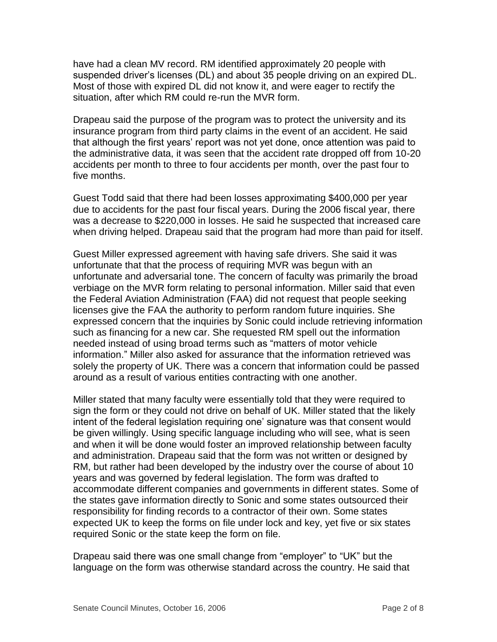have had a clean MV record. RM identified approximately 20 people with suspended driver's licenses (DL) and about 35 people driving on an expired DL. Most of those with expired DL did not know it, and were eager to rectify the situation, after which RM could re-run the MVR form.

Drapeau said the purpose of the program was to protect the university and its insurance program from third party claims in the event of an accident. He said that although the first years' report was not yet done, once attention was paid to the administrative data, it was seen that the accident rate dropped off from 10-20 accidents per month to three to four accidents per month, over the past four to five months.

Guest Todd said that there had been losses approximating \$400,000 per year due to accidents for the past four fiscal years. During the 2006 fiscal year, there was a decrease to \$220,000 in losses. He said he suspected that increased care when driving helped. Drapeau said that the program had more than paid for itself.

Guest Miller expressed agreement with having safe drivers. She said it was unfortunate that that the process of requiring MVR was begun with an unfortunate and adversarial tone. The concern of faculty was primarily the broad verbiage on the MVR form relating to personal information. Miller said that even the Federal Aviation Administration (FAA) did not request that people seeking licenses give the FAA the authority to perform random future inquiries. She expressed concern that the inquiries by Sonic could include retrieving information such as financing for a new car. She requested RM spell out the information needed instead of using broad terms such as "matters of motor vehicle information." Miller also asked for assurance that the information retrieved was solely the property of UK. There was a concern that information could be passed around as a result of various entities contracting with one another.

Miller stated that many faculty were essentially told that they were required to sign the form or they could not drive on behalf of UK. Miller stated that the likely intent of the federal legislation requiring one' signature was that consent would be given willingly. Using specific language including who will see, what is seen and when it will be done would foster an improved relationship between faculty and administration. Drapeau said that the form was not written or designed by RM, but rather had been developed by the industry over the course of about 10 years and was governed by federal legislation. The form was drafted to accommodate different companies and governments in different states. Some of the states gave information directly to Sonic and some states outsourced their responsibility for finding records to a contractor of their own. Some states expected UK to keep the forms on file under lock and key, yet five or six states required Sonic or the state keep the form on file.

Drapeau said there was one small change from "employer" to "UK" but the language on the form was otherwise standard across the country. He said that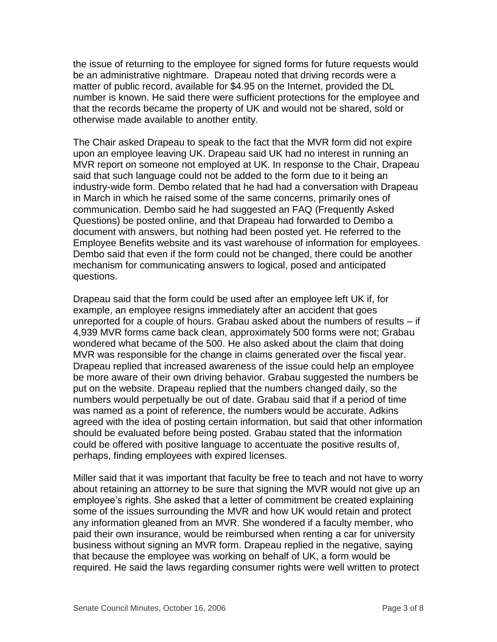the issue of returning to the employee for signed forms for future requests would be an administrative nightmare. Drapeau noted that driving records were a matter of public record, available for \$4.95 on the Internet, provided the DL number is known. He said there were sufficient protections for the employee and that the records became the property of UK and would not be shared, sold or otherwise made available to another entity.

The Chair asked Drapeau to speak to the fact that the MVR form did not expire upon an employee leaving UK. Drapeau said UK had no interest in running an MVR report on someone not employed at UK. In response to the Chair, Drapeau said that such language could not be added to the form due to it being an industry-wide form. Dembo related that he had had a conversation with Drapeau in March in which he raised some of the same concerns, primarily ones of communication. Dembo said he had suggested an FAQ (Frequently Asked Questions) be posted online, and that Drapeau had forwarded to Dembo a document with answers, but nothing had been posted yet. He referred to the Employee Benefits website and its vast warehouse of information for employees. Dembo said that even if the form could not be changed, there could be another mechanism for communicating answers to logical, posed and anticipated questions.

Drapeau said that the form could be used after an employee left UK if, for example, an employee resigns immediately after an accident that goes unreported for a couple of hours. Grabau asked about the numbers of results – if 4,939 MVR forms came back clean, approximately 500 forms were not; Grabau wondered what became of the 500. He also asked about the claim that doing MVR was responsible for the change in claims generated over the fiscal year. Drapeau replied that increased awareness of the issue could help an employee be more aware of their own driving behavior. Grabau suggested the numbers be put on the website. Drapeau replied that the numbers changed daily, so the numbers would perpetually be out of date. Grabau said that if a period of time was named as a point of reference, the numbers would be accurate. Adkins agreed with the idea of posting certain information, but said that other information should be evaluated before being posted. Grabau stated that the information could be offered with positive language to accentuate the positive results of, perhaps, finding employees with expired licenses.

Miller said that it was important that faculty be free to teach and not have to worry about retaining an attorney to be sure that signing the MVR would not give up an employee's rights. She asked that a letter of commitment be created explaining some of the issues surrounding the MVR and how UK would retain and protect any information gleaned from an MVR. She wondered if a faculty member, who paid their own insurance, would be reimbursed when renting a car for university business without signing an MVR form. Drapeau replied in the negative, saying that because the employee was working on behalf of UK, a form would be required. He said the laws regarding consumer rights were well written to protect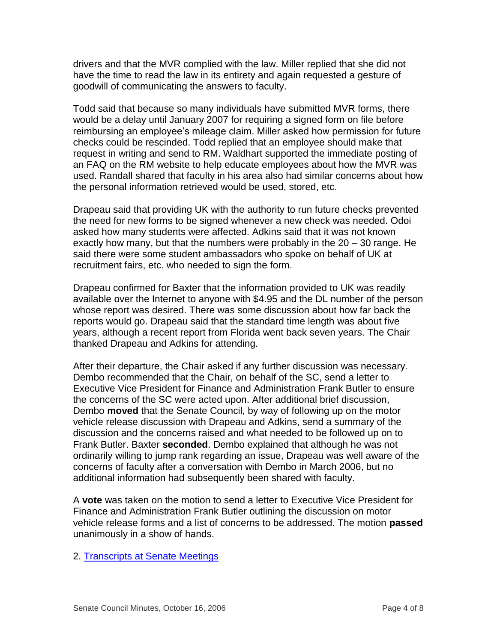drivers and that the MVR complied with the law. Miller replied that she did not have the time to read the law in its entirety and again requested a gesture of goodwill of communicating the answers to faculty.

Todd said that because so many individuals have submitted MVR forms, there would be a delay until January 2007 for requiring a signed form on file before reimbursing an employee's mileage claim. Miller asked how permission for future checks could be rescinded. Todd replied that an employee should make that request in writing and send to RM. Waldhart supported the immediate posting of an FAQ on the RM website to help educate employees about how the MVR was used. Randall shared that faculty in his area also had similar concerns about how the personal information retrieved would be used, stored, etc.

Drapeau said that providing UK with the authority to run future checks prevented the need for new forms to be signed whenever a new check was needed. Odoi asked how many students were affected. Adkins said that it was not known exactly how many, but that the numbers were probably in the 20 – 30 range. He said there were some student ambassadors who spoke on behalf of UK at recruitment fairs, etc. who needed to sign the form.

Drapeau confirmed for Baxter that the information provided to UK was readily available over the Internet to anyone with \$4.95 and the DL number of the person whose report was desired. There was some discussion about how far back the reports would go. Drapeau said that the standard time length was about five years, although a recent report from Florida went back seven years. The Chair thanked Drapeau and Adkins for attending.

After their departure, the Chair asked if any further discussion was necessary. Dembo recommended that the Chair, on behalf of the SC, send a letter to Executive Vice President for Finance and Administration Frank Butler to ensure the concerns of the SC were acted upon. After additional brief discussion, Dembo **moved** that the Senate Council, by way of following up on the motor vehicle release discussion with Drapeau and Adkins, send a summary of the discussion and the concerns raised and what needed to be followed up on to Frank Butler. Baxter **seconded**. Dembo explained that although he was not ordinarily willing to jump rank regarding an issue, Drapeau was well aware of the concerns of faculty after a conversation with Dembo in March 2006, but no additional information had subsequently been shared with faculty.

A **vote** was taken on the motion to send a letter to Executive Vice President for Finance and Administration Frank Butler outlining the discussion on motor vehicle release forms and a list of concerns to be addressed. The motion **passed** unanimously in a show of hands.

#### 2. [Transcripts at Senate Meetings](http://www.uky.edu/USC/New/files/20061016/Transcriptions.pdf)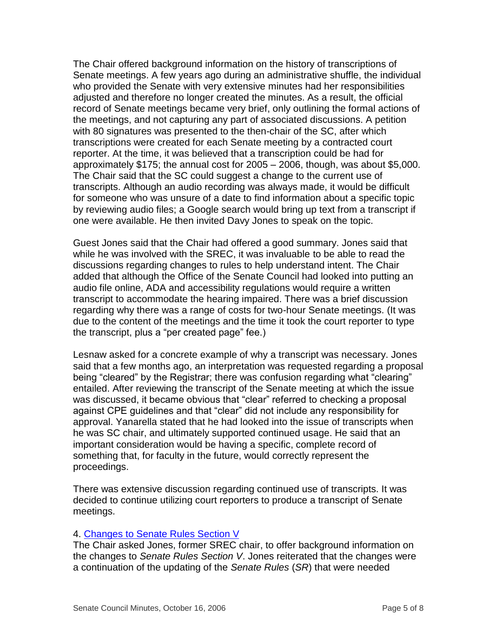The Chair offered background information on the history of transcriptions of Senate meetings. A few years ago during an administrative shuffle, the individual who provided the Senate with very extensive minutes had her responsibilities adjusted and therefore no longer created the minutes. As a result, the official record of Senate meetings became very brief, only outlining the formal actions of the meetings, and not capturing any part of associated discussions. A petition with 80 signatures was presented to the then-chair of the SC, after which transcriptions were created for each Senate meeting by a contracted court reporter. At the time, it was believed that a transcription could be had for approximately \$175; the annual cost for 2005 – 2006, though, was about \$5,000. The Chair said that the SC could suggest a change to the current use of transcripts. Although an audio recording was always made, it would be difficult for someone who was unsure of a date to find information about a specific topic by reviewing audio files; a Google search would bring up text from a transcript if one were available. He then invited Davy Jones to speak on the topic.

Guest Jones said that the Chair had offered a good summary. Jones said that while he was involved with the SREC, it was invaluable to be able to read the discussions regarding changes to rules to help understand intent. The Chair added that although the Office of the Senate Council had looked into putting an audio file online, ADA and accessibility regulations would require a written transcript to accommodate the hearing impaired. There was a brief discussion regarding why there was a range of costs for two-hour Senate meetings. (It was due to the content of the meetings and the time it took the court reporter to type the transcript, plus a "per created page" fee.)

Lesnaw asked for a concrete example of why a transcript was necessary. Jones said that a few months ago, an interpretation was requested regarding a proposal being "cleared" by the Registrar; there was confusion regarding what "clearing" entailed. After reviewing the transcript of the Senate meeting at which the issue was discussed, it became obvious that "clear" referred to checking a proposal against CPE guidelines and that "clear" did not include any responsibility for approval. Yanarella stated that he had looked into the issue of transcripts when he was SC chair, and ultimately supported continued usage. He said that an important consideration would be having a specific, complete record of something that, for faculty in the future, would correctly represent the proceedings.

There was extensive discussion regarding continued use of transcripts. It was decided to continue utilizing court reporters to produce a transcript of Senate meetings.

#### 4. [Changes to Senate Rules Section V](http://www.uky.edu/USC/New/files/20061016/Section%20VII%20draft%20revision%20Sept.%2021%202006_final.doc)

The Chair asked Jones, former SREC chair, to offer background information on the changes to *Senate Rules Section V*. Jones reiterated that the changes were a continuation of the updating of the *Senate Rules* (*SR*) that were needed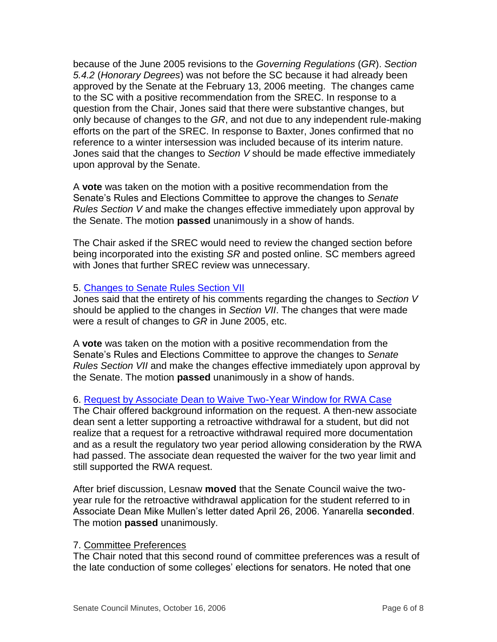because of the June 2005 revisions to the *Governing Regulations* (*GR*). *Section 5.4.2* (*Honorary Degrees*) was not before the SC because it had already been approved by the Senate at the February 13, 2006 meeting. The changes came to the SC with a positive recommendation from the SREC. In response to a question from the Chair, Jones said that there were substantive changes, but only because of changes to the *GR*, and not due to any independent rule-making efforts on the part of the SREC. In response to Baxter, Jones confirmed that no reference to a winter intersession was included because of its interim nature. Jones said that the changes to *Section V* should be made effective immediately upon approval by the Senate.

A **vote** was taken on the motion with a positive recommendation from the Senate's Rules and Elections Committee to approve the changes to *Senate Rules Section V* and make the changes effective immediately upon approval by the Senate. The motion **passed** unanimously in a show of hands.

The Chair asked if the SREC would need to review the changed section before being incorporated into the existing *SR* and posted online. SC members agreed with Jones that further SREC review was unnecessary.

#### 5. [Changes to Senate Rules Section VII](http://www.uky.edu/USC/New/files/20061016/Section%20VII%20draft%20revision%20Sept.%2021%202006_final.doc)

Jones said that the entirety of his comments regarding the changes to *Section V* should be applied to the changes in *Section VII*. The changes that were made were a result of changes to *GR* in June 2005, etc.

A **vote** was taken on the motion with a positive recommendation from the Senate's Rules and Elections Committee to approve the changes to *Senate Rules Section VII* and make the changes effective immediately upon approval by the Senate. The motion **passed** unanimously in a show of hands.

# 6. [Request by Associate Dean to Waive Two-Year Window for RWA Case](http://www.uky.edu/USC/New/files/20061016/Two-Yr%20RWA%20Waiver_MM.pdf)

The Chair offered background information on the request. A then-new associate dean sent a letter supporting a retroactive withdrawal for a student, but did not realize that a request for a retroactive withdrawal required more documentation and as a result the regulatory two year period allowing consideration by the RWA had passed. The associate dean requested the waiver for the two year limit and still supported the RWA request.

After brief discussion, Lesnaw **moved** that the Senate Council waive the twoyear rule for the retroactive withdrawal application for the student referred to in Associate Dean Mike Mullen's letter dated April 26, 2006. Yanarella **seconded**. The motion **passed** unanimously.

#### 7. Committee Preferences

The Chair noted that this second round of committee preferences was a result of the late conduction of some colleges' elections for senators. He noted that one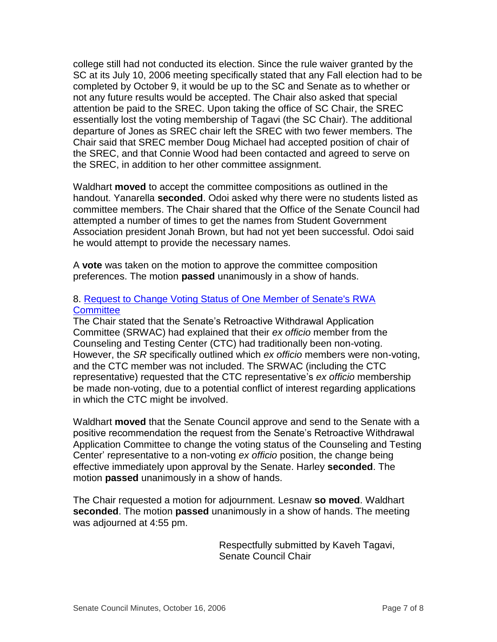college still had not conducted its election. Since the rule waiver granted by the SC at its July 10, 2006 meeting specifically stated that any Fall election had to be completed by October 9, it would be up to the SC and Senate as to whether or not any future results would be accepted. The Chair also asked that special attention be paid to the SREC. Upon taking the office of SC Chair, the SREC essentially lost the voting membership of Tagavi (the SC Chair). The additional departure of Jones as SREC chair left the SREC with two fewer members. The Chair said that SREC member Doug Michael had accepted position of chair of the SREC, and that Connie Wood had been contacted and agreed to serve on the SREC, in addition to her other committee assignment.

Waldhart **moved** to accept the committee compositions as outlined in the handout. Yanarella **seconded**. Odoi asked why there were no students listed as committee members. The Chair shared that the Office of the Senate Council had attempted a number of times to get the names from Student Government Association president Jonah Brown, but had not yet been successful. Odoi said he would attempt to provide the necessary names.

A **vote** was taken on the motion to approve the committee composition preferences. The motion **passed** unanimously in a show of hands.

## 8. [Request to Change Voting Status of One Member of Senate's RWA](http://www.uky.edu/USC/New/files/20061016/SRWAC%20-%20CTC.pdf)  **[Committee](http://www.uky.edu/USC/New/files/20061016/SRWAC%20-%20CTC.pdf)**

The Chair stated that the Senate's Retroactive Withdrawal Application Committee (SRWAC) had explained that their *ex officio* member from the Counseling and Testing Center (CTC) had traditionally been non-voting. However, the *SR* specifically outlined which *ex officio* members were non-voting, and the CTC member was not included. The SRWAC (including the CTC representative) requested that the CTC representative's *ex officio* membership be made non-voting, due to a potential conflict of interest regarding applications in which the CTC might be involved.

Waldhart **moved** that the Senate Council approve and send to the Senate with a positive recommendation the request from the Senate's Retroactive Withdrawal Application Committee to change the voting status of the Counseling and Testing Center' representative to a non-voting *ex officio* position, the change being effective immediately upon approval by the Senate. Harley **seconded**. The motion **passed** unanimously in a show of hands.

The Chair requested a motion for adjournment. Lesnaw **so moved**. Waldhart **seconded**. The motion **passed** unanimously in a show of hands. The meeting was adjourned at 4:55 pm.

> Respectfully submitted by Kaveh Tagavi, Senate Council Chair